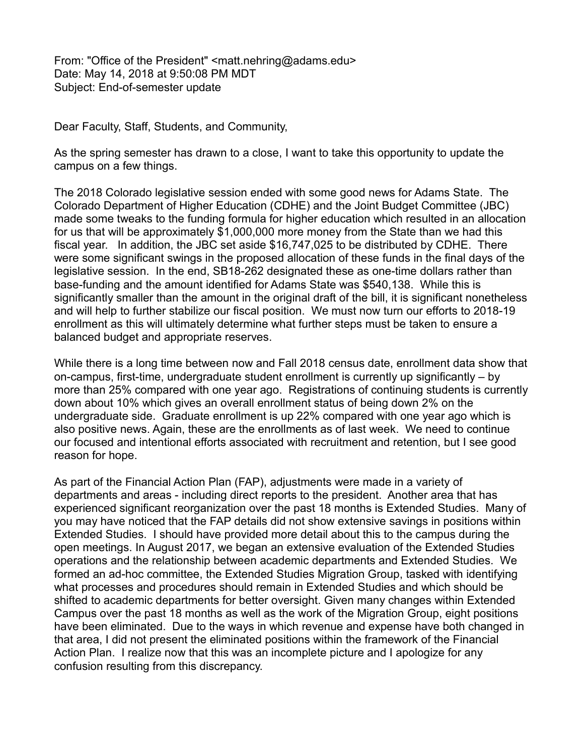From: "Office of the President" <matt.nehring@adams.edu> Date: May 14, 2018 at 9:50:08 PM MDT Subject: End-of-semester update

Dear Faculty, Staff, Students, and Community,

As the spring semester has drawn to a close, I want to take this opportunity to update the campus on a few things.

The 2018 Colorado legislative session ended with some good news for Adams State. The Colorado Department of Higher Education (CDHE) and the Joint Budget Committee (JBC) made some tweaks to the funding formula for higher education which resulted in an allocation for us that will be approximately \$1,000,000 more money from the State than we had this fiscal year. In addition, the JBC set aside \$16,747,025 to be distributed by CDHE. There were some significant swings in the proposed allocation of these funds in the final days of the legislative session. In the end, SB18-262 designated these as one-time dollars rather than base-funding and the amount identified for Adams State was \$540,138. While this is significantly smaller than the amount in the original draft of the bill, it is significant nonetheless and will help to further stabilize our fiscal position. We must now turn our efforts to 2018-19 enrollment as this will ultimately determine what further steps must be taken to ensure a balanced budget and appropriate reserves.

While there is a long time between now and Fall 2018 census date, enrollment data show that on-campus, first-time, undergraduate student enrollment is currently up significantly – by more than 25% compared with one year ago. Registrations of continuing students is currently down about 10% which gives an overall enrollment status of being down 2% on the undergraduate side. Graduate enrollment is up 22% compared with one year ago which is also positive news. Again, these are the enrollments as of last week. We need to continue our focused and intentional efforts associated with recruitment and retention, but I see good reason for hope.

As part of the Financial Action Plan (FAP), adjustments were made in a variety of departments and areas - including direct reports to the president. Another area that has experienced significant reorganization over the past 18 months is Extended Studies. Many of you may have noticed that the FAP details did not show extensive savings in positions within Extended Studies. I should have provided more detail about this to the campus during the open meetings. In August 2017, we began an extensive evaluation of the Extended Studies operations and the relationship between academic departments and Extended Studies. We formed an ad-hoc committee, the Extended Studies Migration Group, tasked with identifying what processes and procedures should remain in Extended Studies and which should be shifted to academic departments for better oversight. Given many changes within Extended Campus over the past 18 months as well as the work of the Migration Group, eight positions have been eliminated. Due to the ways in which revenue and expense have both changed in that area, I did not present the eliminated positions within the framework of the Financial Action Plan. I realize now that this was an incomplete picture and I apologize for any confusion resulting from this discrepancy.